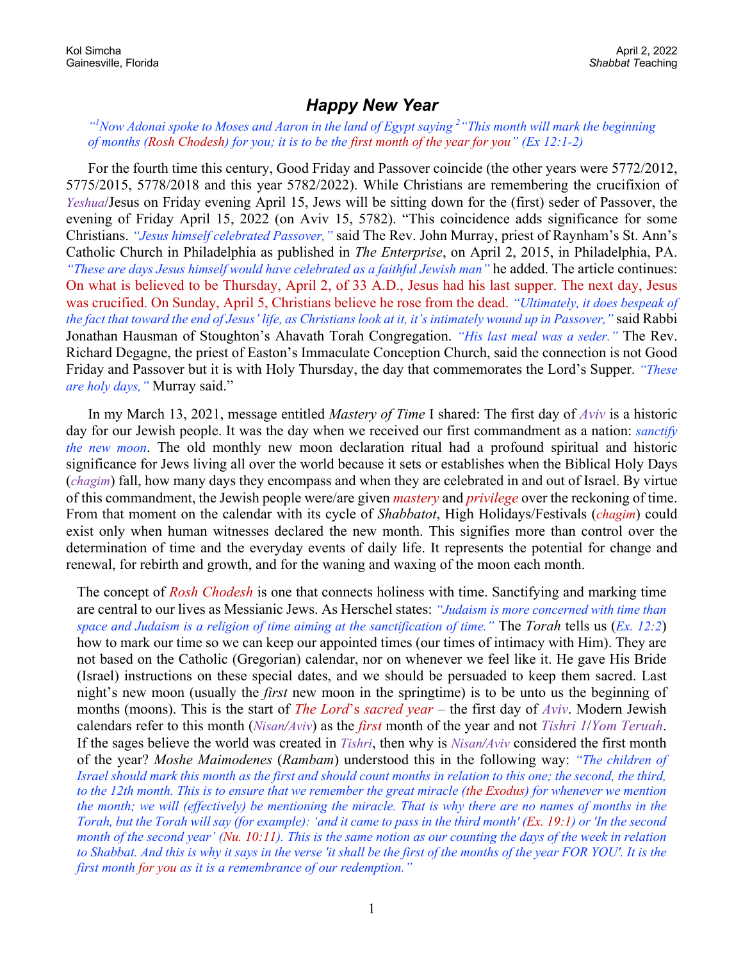## *Happy New Year*

## *"1 Now Adonai spoke to Moses and Aaron in the land of Egypt saying 2 "This month will mark the beginning of months (Rosh Chodesh) for you; it is to be the first month of the year for you" (Ex 12:1-2)*

For the fourth time this century, Good Friday and Passover coincide (the other years were 5772/2012, 5775/2015, 5778/2018 and this year 5782/2022). While Christians are remembering the crucifixion of *Yeshua*/Jesus on Friday evening April 15, Jews will be sitting down for the (first) seder of Passover, the evening of Friday April 15, 2022 (on Aviv 15, 5782). "This coincidence adds significance for some Christians. *"Jesus himself celebrated Passover,"* said The Rev. John Murray, priest of Raynham's St. Ann's Catholic Church in Philadelphia as published in *The Enterprise*, on April 2, 2015, in Philadelphia, PA. *"These are days Jesus himself would have celebrated as a faithful Jewish man"* he added. The article continues: On what is believed to be Thursday, April 2, of 33 A.D., Jesus had his last supper. The next day, Jesus was crucified. On Sunday, April 5, Christians believe he rose from the dead. *"Ultimately, it does bespeak of the fact that toward the end of Jesus' life, as Christians look at it, it's intimately wound up in Passover,"* said Rabbi Jonathan Hausman of Stoughton's Ahavath Torah Congregation. *"His last meal was a seder."* The Rev. Richard Degagne, the priest of Easton's Immaculate Conception Church, said the connection is not Good Friday and Passover but it is with Holy Thursday, the day that commemorates the Lord's Supper. *"These are holy days,"* Murray said."

In my March 13, 2021, message entitled *Mastery of Time* I shared: The first day of *Aviv* is a historic day for our Jewish people. It was the day when we received our first commandment as a nation: *sanctify the new moon*. The old monthly new moon declaration ritual had a profound spiritual and historic significance for Jews living all over the world because it sets or establishes when the Biblical Holy Days (*chagim*) fall, how many days they encompass and when they are celebrated in and out of Israel. By virtue of this commandment, the Jewish people were/are given *mastery* and *privilege* over the reckoning of time. From that moment on the calendar with its cycle of *Shabbatot*, High Holidays/Festivals (*chagim*) could exist only when human witnesses declared the new month. This signifies more than control over the determination of time and the everyday events of daily life. It represents the potential for change and renewal, for rebirth and growth, and for the waning and waxing of the moon each month.

The concept of *Rosh Chodesh* is one that connects holiness with time. Sanctifying and marking time are central to our lives as Messianic Jews. As Herschel states: *"Judaism is more concerned with time than space and Judaism is a religion of time aiming at the sanctification of time."* The *Torah* tells us (*Ex. 12:2*) how to mark our time so we can keep our appointed times (our times of intimacy with Him). They are not based on the Catholic (Gregorian) calendar, nor on whenever we feel like it. He gave His Bride (Israel) instructions on these special dates, and we should be persuaded to keep them sacred. Last night's new moon (usually the *first* new moon in the springtime) is to be unto us the beginning of months (moons). This is the start of *The Lord*'s *sacred year* – the first day of *Aviv*. Modern Jewish calendars refer to this month (*Nisan/Aviv*) as the *first* month of the year and not *Tishri 1*/*Yom Teruah*. If the sages believe the world was created in *Tishri*, then why is *Nisan/Aviv* considered the first month of the year? *Moshe Maimodenes* (*Rambam*) understood this in the following way: *"The children of Israel should mark this month as the first and should count months in relation to this one; the second, the third, to the 12th month. This is to ensure that we remember the great miracle (the Exodus) for whenever we mention the month; we will (effectively) be mentioning the miracle. That is why there are no names of months in the Torah, but the Torah will say (for example): 'and it came to pass in the third month' (Ex. 19:1) or 'In the second month of the second year' (Nu. 10:11). This is the same notion as our counting the days of the week in relation*  to Shabbat. And this is why it says in the verse 'it shall be the first of the months of the year FOR YOU'. It is the *first month for you as it is a remembrance of our redemption."*